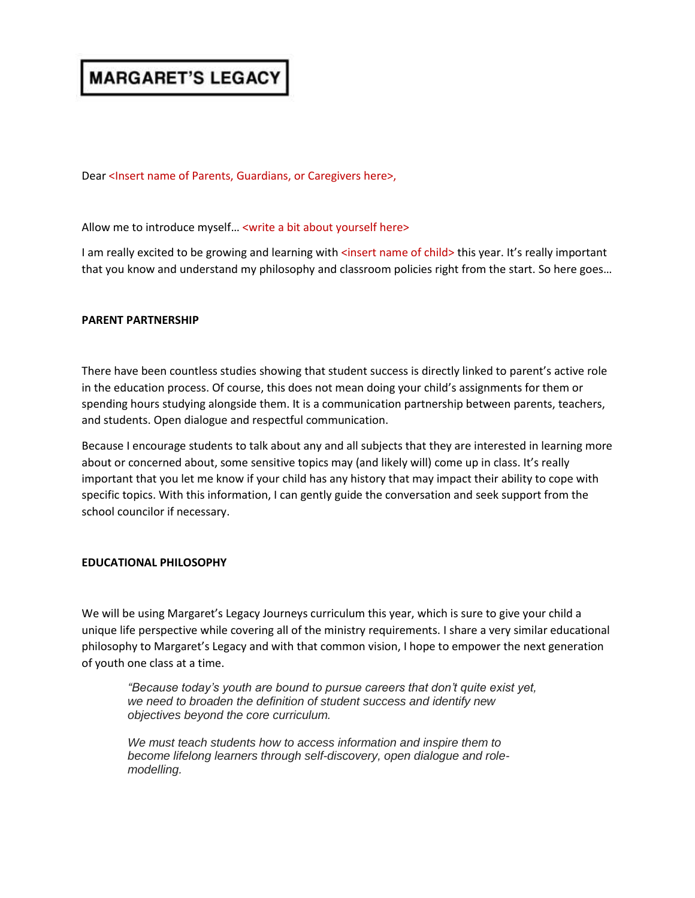# **MARGARET'S LEGACY**

Dear <Insert name of Parents, Guardians, or Caregivers here>,

## Allow me to introduce myself… <write a bit about yourself here>

I am really excited to be growing and learning with <insert name of child> this year. It's really important that you know and understand my philosophy and classroom policies right from the start. So here goes…

## **PARENT PARTNERSHIP**

There have been countless studies showing that student success is directly linked to parent's active role in the education process. Of course, this does not mean doing your child's assignments for them or spending hours studying alongside them. It is a communication partnership between parents, teachers, and students. Open dialogue and respectful communication.

Because I encourage students to talk about any and all subjects that they are interested in learning more about or concerned about, some sensitive topics may (and likely will) come up in class. It's really important that you let me know if your child has any history that may impact their ability to cope with specific topics. With this information, I can gently guide the conversation and seek support from the school councilor if necessary.

# **EDUCATIONAL PHILOSOPHY**

We will be using Margaret's Legacy Journeys curriculum this year, which is sure to give your child a unique life perspective while covering all of the ministry requirements. I share a very similar educational philosophy to Margaret's Legacy and with that common vision, I hope to empower the next generation of youth one class at a time.

*"Because today's youth are bound to pursue careers that don't quite exist yet, we need to broaden the definition of student success and identify new objectives beyond the core curriculum.*

*We must teach students how to access information and inspire them to become lifelong learners through self-discovery, open dialogue and rolemodelling.*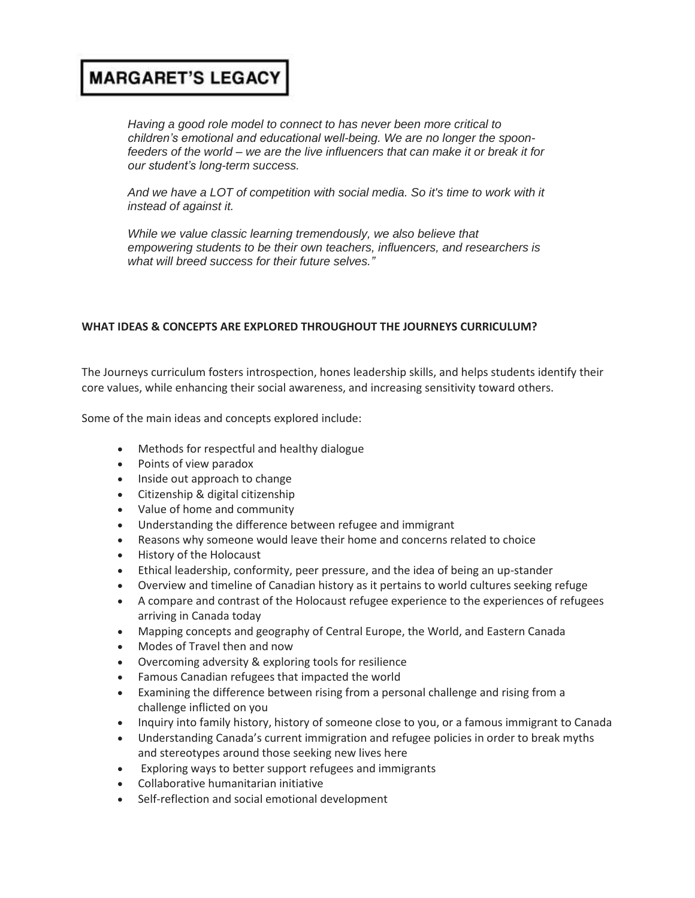# **MARGARET'S LEGACY**

*Having a good role model to connect to has never been more critical to children's emotional and educational well-being. We are no longer the spoonfeeders of the world – we are the live influencers that can make it or break it for our student's long-term success.*

*And we have a LOT of competition with social media. So it's time to work with it instead of against it.*

*While we value classic learning tremendously, we also believe that empowering students to be their own teachers, influencers, and researchers is what will breed success for their future selves."*

# **WHAT IDEAS & CONCEPTS ARE EXPLORED THROUGHOUT THE JOURNEYS CURRICULUM?**

The Journeys curriculum fosters introspection, hones leadership skills, and helps students identify their core values, while enhancing their social awareness, and increasing sensitivity toward others.

Some of the main ideas and concepts explored include:

- Methods for respectful and healthy dialogue
- Points of view paradox
- Inside out approach to change
- Citizenship & digital citizenship
- Value of home and community
- Understanding the difference between refugee and immigrant
- Reasons why someone would leave their home and concerns related to choice
- History of the Holocaust
- Ethical leadership, conformity, peer pressure, and the idea of being an up-stander
- Overview and timeline of Canadian history as it pertains to world cultures seeking refuge
- A compare and contrast of the Holocaust refugee experience to the experiences of refugees arriving in Canada today
- Mapping concepts and geography of Central Europe, the World, and Eastern Canada
- Modes of Travel then and now
- Overcoming adversity & exploring tools for resilience
- Famous Canadian refugees that impacted the world
- Examining the difference between rising from a personal challenge and rising from a challenge inflicted on you
- Inquiry into family history, history of someone close to you, or a famous immigrant to Canada
- Understanding Canada's current immigration and refugee policies in order to break myths and stereotypes around those seeking new lives here
- Exploring ways to better support refugees and immigrants
- Collaborative humanitarian initiative
- Self-reflection and social emotional development